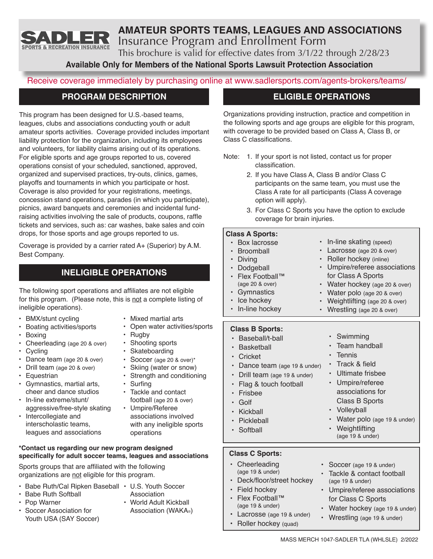

# **AMATEUR SPORTS TEAMS, LEAGUES AND ASSOCIATIONS** Insurance Program and Enrollment Form

This brochure is valid for effective dates from 3/1/22 through 2/28/23

**Available Only for Members of the National Sports Lawsuit Protection Association**

Receive coverage immediately by purchasing online at www.sadlersports.com/agents-brokers/teams/

# **PROGRAM DESCRIPTION**

This program has been designed for U.S.-based teams, leagues, clubs and associations conducting youth or adult amateur sports activities. Coverage provided includes important liability protection for the organization, including its employees and volunteers, for liability claims arising out of its operations. For eligible sports and age groups reported to us, covered operations consist of your scheduled, sanctioned, approved, organized and supervised practices, try-outs, clinics, games, playoffs and tournaments in which you participate or host. Coverage is also provided for your registrations, meetings, concession stand operations, parades (in which you participate), picnics, award banquets and ceremonies and incidental fundraising activities involving the sale of products, coupons, raffle tickets and services, such as: car washes, bake sales and coin drops, for those sports and age groups reported to us.

Coverage is provided by a carrier rated A+ (Superior) by A.M. Best Company.

# **INELIGIBLE OPERATIONS**

The following sport operations and affiliates are not eligible for this program. (Please note, this is not a complete listing of ineligible operations).

- BMX/stunt cycling
- Boating activities/sports
- Boxing
- Cheerleading (age 20 & over)
- Cycling
- Dance team (age 20 & over)
- Drill team (age 20 & over)
- Equestrian
- Gymnastics, martial arts, cheer and dance studios
- In-line extreme/stunt/ aggressive/free-style skating
- Intercollegiate and interscholastic teams, leagues and associations
- Mixed martial arts
	- Open water activities/sports
- 
- 
- 
- 
- 
- associations involved with any ineligible sports operations

#### **\*Contact us regarding our new program designed specifically for adult soccer teams, leagues and associations**

Sports groups that are affiliated with the following organizations are not eligible for this program.

- Babe Ruth/Cal Ripken Baseball U.S. Youth Soccer
- Babe Ruth Softball
- Pop Warner
- -
- Soccer Association for Youth USA (SAY Soccer)
- Association • World Adult Kickball Association (WAKA®)

# **ELIGIBLE OPERATIONS**

Organizations providing instruction, practice and competition in the following sports and age groups are eligible for this program, with coverage to be provided based on Class A, Class B, or Class C classifications.

- Note: 1. If your sport is not listed, contact us for proper classification.
	- 2. If you have Class A, Class B and/or Class C participants on the same team, you must use the Class A rate for all participants (Class A coverage option will apply).
	- 3. For Class C Sports you have the option to exclude coverage for brain injuries.

## **Class A Sports:**

| Box lacrosse<br><b>Broomball</b><br>Diving<br>$\bullet$<br>Dodgeball<br>$\bullet$<br>Flex Football™<br>(age 20 & over)<br>$\bullet$<br>Gymnastics<br>$\bullet$<br>• Ice hockey<br>$\bullet$<br>In-line hockey<br>$\bullet$                           | In-line skating (speed)<br>Lacrosse (age 20 & over)<br>Roller hockey (inline)<br>Umpire/referee associations<br>for Class A Sports<br>Water hockey (age 20 & over)<br>Water polo (age 20 & over)<br>Weightlifting (age 20 & over)<br>Wrestling (age 20 & over) |
|------------------------------------------------------------------------------------------------------------------------------------------------------------------------------------------------------------------------------------------------------|----------------------------------------------------------------------------------------------------------------------------------------------------------------------------------------------------------------------------------------------------------------|
| <b>Class B Sports:</b><br>Baseball/t-ball<br><b>Basketball</b><br>$\bullet$<br>Cricket<br>Dance team (age 19 & under)<br>$\bullet$<br>Drill team (age 19 & under)<br>$\bullet$<br>Flag & touch football<br>Frisbee<br>Golf<br>Kickball<br>Pickleball | Swimming<br>Team handball<br>٠<br>Tennis<br>$\bullet$<br>Track & field<br>Ultimate frisbee<br>٠<br>Umpire/referee<br>$\bullet$<br>associations for<br>Class B Sports<br>Volleyball<br>$\bullet$<br>Water polo (age 19 & under)                                 |
| Softball                                                                                                                                                                                                                                             | Weightlifting<br>(age 19 & under)                                                                                                                                                                                                                              |

## **Class C Sports:**

- Cheerleading (age 19 & under)
- Deck/floor/street hockey
- Field hockey
- Flex Football™ (age 19 & under)
- Lacrosse (age 19 & under)
- Roller hockey (quad)
- Tackle & contact football (age 19 & under)
- Umpire/referee associations for Class C Sports
- Water hockey (age 19 & under)
- Wrestling (age 19 & under)
- Skateboarding • Soccer (age 20 & over)\*
- Skiing (water or snow)
- 
- **Surfing**
- Umpire/Referee
- 
- 
- 
- Rugby Shooting sports
- 
- Strength and conditioning<br>• Surfing
- Tackle and contact football (age 20 & over)
-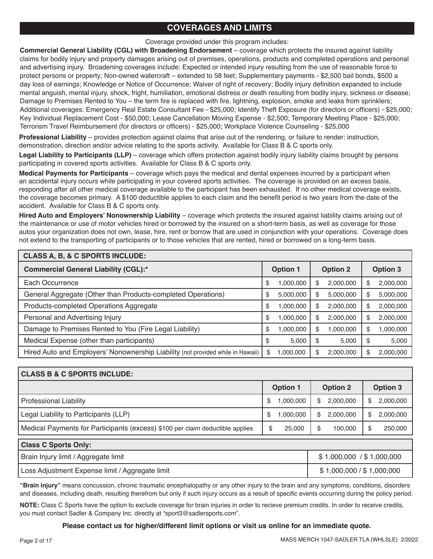# **COVERAGES AND LIMITS**

Coverage provided under this program includes:

**Commercial General Liability (CGL) with Broadening Endorsement** – coverage which protects the insured against liability claims for bodily injury and property damages arising out of premises, operations, products and completed operations and personal and advertising injury. Broadening coverages include: Expected or intended injury resulting from the use of reasonable force to protect persons or property; Non-owned watercraft – extended to 58 feet; Supplementary payments - \$2,500 bail bonds, \$500 a day loss of earnings; Knowledge or Notice of Occurrence; Waiver of right of recovery; Bodily injury definition expanded to include mental anguish, mental injury, shock, fright, humiliation, emotional distress or death resulting from bodily injury, sickness or disease; Damage to Premises Rented to You – the term fire is replaced with fire, lightning, explosion, smoke and leaks from sprinklers; Additional coverages: Emergency Real Estate Consultant Fee - \$25,000; Identify Theft Exposure (for directors or officers) - \$25,000; Key Individual Replacement Cost - \$50,000; Lease Cancellation Moving Expense - \$2,500; Temporary Meeting Place - \$25,000; Terrorism Travel Reimbursement (for directors or officers) - \$25,000; Workplace Violence Counseling - \$25,000

**Professional Liability** – provides protection against claims that arise out of the rendering, or failure to render: instruction, demonstration, direction and/or advice relating to the sports activity. Available for Class B & C sports only.

**Legal Liability to Participants (LLP)** – coverage which offers protection against bodily injury liability claims brought by persons participating in covered sports activities. Available for Class B & C sports only.

**Medical Payments for Participants** – coverage which pays the medical and dental expenses incurred by a participant when an accidental injury occurs while participating in your covered sports activities. The coverage is provided on an excess basis, responding after all other medical coverage available to the participant has been exhausted. If no other medical coverage exists, the coverage becomes primary. A \$100 deductible applies to each claim and the benefit period is two years from the date of the accident. Available for Class B & C sports only.

**Hired Auto and Employers' Nonownership Liability** – coverage which protects the insured against liability claims arising out of the maintenance or use of motor vehicles hired or borrowed by the insured on a short-term basis, as well as coverage for those autos your organization does not own, lease, hire, rent or borrow that are used in conjunction with your operations. Coverage does not extend to the transporting of participants or to those vehicles that are rented, hired or borrowed on a long-term basis.

| <b>CLASS A, B, &amp; C SPORTS INCLUDE:</b>                                      |                 |           |                 |           |                 |           |  |  |
|---------------------------------------------------------------------------------|-----------------|-----------|-----------------|-----------|-----------------|-----------|--|--|
| <b>Commercial General Liability (CGL):*</b>                                     | <b>Option 1</b> |           | <b>Option 2</b> |           | <b>Option 3</b> |           |  |  |
| Each Occurrence                                                                 | \$              | 1,000,000 | S               | 2,000,000 | \$              | 2,000,000 |  |  |
| General Aggregate (Other than Products-completed Operations)                    | \$              | 5,000,000 | S               | 5,000,000 | \$              | 5,000,000 |  |  |
| Products-completed Operations Aggregate                                         | \$              | 1,000,000 | S               | 2,000,000 | \$              | 2,000,000 |  |  |
| Personal and Advertising Injury                                                 | S               | 1,000,000 | S               | 2,000,000 | \$              | 2,000,000 |  |  |
| Damage to Premises Rented to You (Fire Legal Liability)                         | S               | 1,000,000 | S               | 1,000,000 | \$              | 1,000,000 |  |  |
| Medical Expense (other than participants)                                       | S               | 5,000     | S               | 5,000     | \$              | 5,000     |  |  |
| Hired Auto and Employers' Nonownership Liability (not provided while in Hawaii) | \$              | 1,000,000 | S               | 2,000,000 | \$              | 2,000,000 |  |  |

| <b>CLASS B &amp; C SPORTS INCLUDE:</b>                                        |                 |          |                 |                           |                 |           |  |  |
|-------------------------------------------------------------------------------|-----------------|----------|-----------------|---------------------------|-----------------|-----------|--|--|
|                                                                               | <b>Option 1</b> |          | <b>Option 2</b> |                           | <b>Option 3</b> |           |  |  |
| <b>Professional Liability</b>                                                 | S               | 000,000, | SS.             | 2,000,000                 | S               | 2,000,000 |  |  |
| Legal Liability to Participants (LLP)                                         | \$              | 000,000, | \$              | 2,000,000                 | \$              | 2,000,000 |  |  |
| Medical Payments for Participants (excess) \$100 per claim deductible applies | \$              | 25,000   | \$              | 100.000                   | \$              | 250,000   |  |  |
| <b>Class C Sports Only:</b>                                                   |                 |          |                 |                           |                 |           |  |  |
| Brain Injury limit / Aggregate limit                                          |                 |          |                 | \$1,000,000 / \$1,000,000 |                 |           |  |  |
| Loss Adjustment Expense limit / Aggregate limit                               |                 |          |                 | \$1,000,000 / \$1,000,000 |                 |           |  |  |

**"Brain injury"** means concussion, chronic traumatic encephalopathy or any other injury to the brain and any symptoms, conditions, disorders and diseases, including death, resulting therefrom but only if such injury occurs as a result of specific events occurring during the policy period.

**NOTE:** Class C Sports have the option to exclude coverage for brain injuries in order to recieve premium credits. In order to receive credits, you must contact Sadler & Company Inc. directly at "sport3@sadlersports.com".

#### **Please contact us for higher/different limit options or visit us online for an immediate quote.**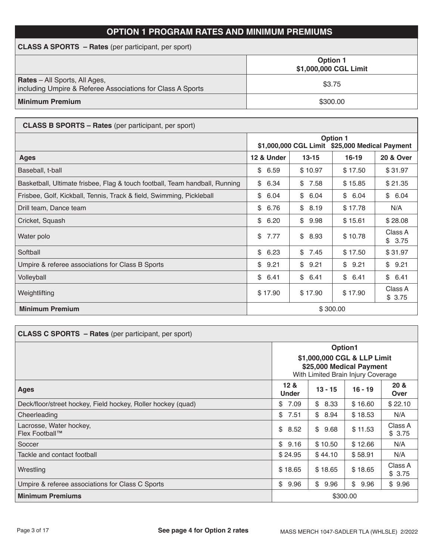# **OPTION 1 PROGRAM RATES AND MINIMUM PREMIUMS**

| <b>CLASS A SPORTS – Rates</b> (per participant, per sport)                                         |                                          |  |  |  |  |  |
|----------------------------------------------------------------------------------------------------|------------------------------------------|--|--|--|--|--|
|                                                                                                    | <b>Option 1</b><br>\$1,000,000 CGL Limit |  |  |  |  |  |
| <b>Rates</b> – All Sports, All Ages,<br>including Umpire & Referee Associations for Class A Sports | \$3.75                                   |  |  |  |  |  |
| <b>Minimum Premium</b>                                                                             | \$300.00                                 |  |  |  |  |  |

| <b>CLASS B SPORTS – Rates</b> (per participant, per sport)                  |                                                                   |            |            |                   |  |  |
|-----------------------------------------------------------------------------|-------------------------------------------------------------------|------------|------------|-------------------|--|--|
|                                                                             | <b>Option 1</b><br>\$1,000,000 CGL Limit \$25,000 Medical Payment |            |            |                   |  |  |
| <b>Ages</b>                                                                 | 12 & Under                                                        | $13 - 15$  | $16 - 19$  | 20 & Over         |  |  |
| Baseball, t-ball                                                            | \$<br>6.59                                                        | \$10.97    | \$17.50    | \$31.97           |  |  |
| Basketball, Ultimate frisbee, Flag & touch football, Team handball, Running | \$<br>6.34                                                        | 7.58<br>\$ | \$15.85    | \$21.35           |  |  |
| Frisbee, Golf, Kickball, Tennis, Track & field, Swimming, Pickleball        | \$<br>6.04                                                        | \$<br>6.04 | \$<br>6.04 | \$6.04            |  |  |
| Drill team, Dance team                                                      | \$<br>6.76                                                        | \$<br>8.19 | \$17.78    | N/A               |  |  |
| Cricket, Squash                                                             | \$<br>6.20                                                        | \$<br>9.98 | \$15.61    | \$28.08           |  |  |
| Water polo                                                                  | \$<br>7.77                                                        | \$<br>8.93 | \$10.78    | Class A<br>\$3.75 |  |  |
| Softball                                                                    | \$<br>6.23                                                        | \$<br>7.45 | \$17.50    | \$31.97           |  |  |
| Umpire & referee associations for Class B Sports                            | \$<br>9.21                                                        | \$<br>9.21 | \$<br>9.21 | \$9.21            |  |  |
| Volleyball                                                                  | \$<br>6.41                                                        | \$<br>6.41 | \$<br>6.41 | \$6.41            |  |  |
| Weightlifting                                                               | \$17.90                                                           | \$17.90    | \$17.90    | Class A<br>\$3.75 |  |  |
| <b>Minimum Premium</b>                                                      |                                                                   |            | \$300.00   |                   |  |  |

| <b>CLASS C SPORTS - Rates</b> (per participant, per sport)   |                                                                                               |           |            |                   |  |  |  |
|--------------------------------------------------------------|-----------------------------------------------------------------------------------------------|-----------|------------|-------------------|--|--|--|
|                                                              | Option1                                                                                       |           |            |                   |  |  |  |
|                                                              | \$1,000,000 CGL & LLP Limit<br>\$25,000 Medical Payment<br>With Limited Brain Injury Coverage |           |            |                   |  |  |  |
| <b>Ages</b>                                                  | 12 <sub>8</sub><br><b>Under</b>                                                               | $13 - 15$ | $16 - 19$  | 20 &<br>Over      |  |  |  |
| Deck/floor/street hockey, Field hockey, Roller hockey (quad) | \$<br>7.09                                                                                    | \$8.33    | \$16.60    | \$22.10           |  |  |  |
| Cheerleading                                                 | \$<br>7.51                                                                                    | \$8.94    | \$18.53    | N/A               |  |  |  |
| Lacrosse, Water hockey,<br>Flex Football™                    | \$<br>8.52                                                                                    | \$9.68    | \$11.53    | Class A<br>\$3.75 |  |  |  |
| Soccer                                                       | \$<br>9.16                                                                                    | \$10.50   | \$12.66    | N/A               |  |  |  |
| Tackle and contact football                                  | \$24.95                                                                                       | \$44.10   | \$58.91    | N/A               |  |  |  |
| Wrestling                                                    | \$18.65                                                                                       | \$18.65   | \$18.65    | Class A<br>\$3.75 |  |  |  |
| Umpire & referee associations for Class C Sports             | \$<br>9.96                                                                                    | \$9.96    | \$<br>9.96 | \$9.96            |  |  |  |
| <b>Minimum Premiums</b>                                      | \$300.00                                                                                      |           |            |                   |  |  |  |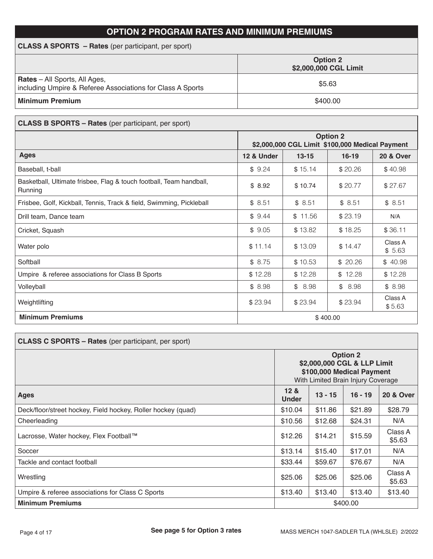# **OPTION 2 PROGRAM RATES AND MINIMUM PREMIUMS**

| <b>CLASS A SPORTS – Rates</b> (per participant, per sport)                                         |                                          |
|----------------------------------------------------------------------------------------------------|------------------------------------------|
|                                                                                                    | <b>Option 2</b><br>\$2,000,000 CGL Limit |
| <b>Rates</b> – All Sports, All Ages,<br>including Umpire & Referee Associations for Class A Sports | \$5.63                                   |
| <b>Minimum Premium</b>                                                                             | \$400.00                                 |

| <b>CLASS B SPORTS - Rates</b> (per participant, per sport)                     |                                                                    |         |          |                   |  |  |
|--------------------------------------------------------------------------------|--------------------------------------------------------------------|---------|----------|-------------------|--|--|
|                                                                                | <b>Option 2</b><br>\$2,000,000 CGL Limit \$100,000 Medical Payment |         |          |                   |  |  |
| <b>Ages</b>                                                                    | 12 & Under<br>$13 - 15$<br>$16 - 19$<br><b>20 &amp; Over</b>       |         |          |                   |  |  |
| Baseball, t-ball                                                               | \$9.24                                                             | \$15.14 | \$20.26  | \$40.98           |  |  |
| Basketball, Ultimate frisbee, Flag & touch football, Team handball,<br>Running | \$8.92                                                             | \$10.74 | \$20.77  | \$27.67           |  |  |
| Frisbee, Golf, Kickball, Tennis, Track & field, Swimming, Pickleball           | \$8.51                                                             | \$8.51  | \$8.51   | \$8.51            |  |  |
| Drill team, Dance team                                                         | \$9.44                                                             | \$11.56 | \$23.19  | N/A               |  |  |
| Cricket, Squash                                                                | \$9.05                                                             | \$13.82 | \$18.25  | \$36.11           |  |  |
| Water polo                                                                     | \$11.14                                                            | \$13.09 | \$14.47  | Class A<br>\$5.63 |  |  |
| Softball                                                                       | \$8.75                                                             | \$10.53 | \$20.26  | \$40.98           |  |  |
| Umpire & referee associations for Class B Sports                               | \$12.28                                                            | \$12.28 | \$12.28  | \$12.28           |  |  |
| Volleyball                                                                     | \$8.98                                                             | \$8.98  | \$8.98   | \$8.98            |  |  |
| Weightlifting                                                                  | \$23.94                                                            | \$23.94 | \$23.94  | Class A<br>\$5.63 |  |  |
| <b>Minimum Premiums</b>                                                        |                                                                    |         | \$400.00 |                   |  |  |

| <b>CLASS C SPORTS - Rates (per participant, per sport)</b>   |                                                                                                                   |         |          |                   |  |  |
|--------------------------------------------------------------|-------------------------------------------------------------------------------------------------------------------|---------|----------|-------------------|--|--|
|                                                              | <b>Option 2</b><br>\$2,000,000 CGL & LLP Limit<br>\$100,000 Medical Payment<br>With Limited Brain Injury Coverage |         |          |                   |  |  |
| Ages                                                         | 12 &<br>$13 - 15$<br>$16 - 19$<br><b>20 &amp; Over</b><br><b>Under</b>                                            |         |          |                   |  |  |
| Deck/floor/street hockey, Field hockey, Roller hockey (quad) | \$10.04                                                                                                           | \$11.86 | \$21.89  | \$28.79           |  |  |
| Cheerleading                                                 | \$10.56                                                                                                           | \$12.68 | \$24.31  | N/A               |  |  |
| Lacrosse, Water hockey, Flex Football™                       | \$12.26                                                                                                           | \$14.21 | \$15.59  | Class A<br>\$5.63 |  |  |
| Soccer                                                       | \$13.14                                                                                                           | \$15.40 | \$17.01  | N/A               |  |  |
| Tackle and contact football                                  | \$33.44                                                                                                           | \$59.67 | \$76.67  | N/A               |  |  |
| Wrestling                                                    | \$25.06                                                                                                           | \$25.06 | \$25.06  | Class A<br>\$5.63 |  |  |
| Umpire & referee associations for Class C Sports             | \$13.40                                                                                                           | \$13.40 | \$13.40  | \$13.40           |  |  |
| <b>Minimum Premiums</b>                                      |                                                                                                                   |         | \$400.00 |                   |  |  |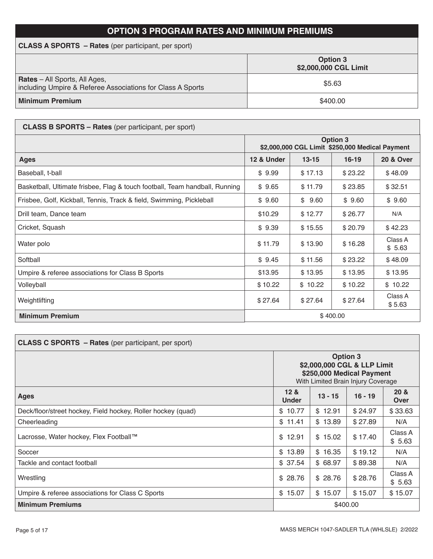# **OPTION 3 PROGRAM RATES AND MINIMUM PREMIUMS**

| <b>CLASS A SPORTS</b> – Rates (per participant, per sport)                                         |                                          |  |  |  |  |  |
|----------------------------------------------------------------------------------------------------|------------------------------------------|--|--|--|--|--|
|                                                                                                    | <b>Option 3</b><br>\$2,000,000 CGL Limit |  |  |  |  |  |
| <b>Rates</b> - All Sports, All Ages,<br>including Umpire & Referee Associations for Class A Sports | \$5.63                                   |  |  |  |  |  |
| <b>Minimum Premium</b>                                                                             | \$400.00                                 |  |  |  |  |  |

| <b>CLASS B SPORTS – Rates</b> (per participant, per sport)                  |                                                                    |         |          |                   |  |  |
|-----------------------------------------------------------------------------|--------------------------------------------------------------------|---------|----------|-------------------|--|--|
|                                                                             | <b>Option 3</b><br>\$2,000,000 CGL Limit \$250,000 Medical Payment |         |          |                   |  |  |
| <b>Ages</b>                                                                 | 12 & Under<br>$13 - 15$<br>$16-19$<br><b>20 &amp; Over</b>         |         |          |                   |  |  |
| Baseball, t-ball                                                            | \$9.99                                                             | \$17.13 | \$23.22  | \$48.09           |  |  |
| Basketball, Ultimate frisbee, Flag & touch football, Team handball, Running | \$9.65                                                             | \$11.79 | \$23.85  | \$32.51           |  |  |
| Frisbee, Golf, Kickball, Tennis, Track & field, Swimming, Pickleball        | \$9.60                                                             | \$9.60  | \$9.60   | \$9.60            |  |  |
| Drill team, Dance team                                                      | \$10.29                                                            | \$12.77 | \$26.77  | N/A               |  |  |
| Cricket, Squash                                                             | \$9.39                                                             | \$15.55 | \$20.79  | \$42.23           |  |  |
| Water polo                                                                  | \$11.79                                                            | \$13.90 | \$16.28  | Class A<br>\$5.63 |  |  |
| Softball                                                                    | \$9.45                                                             | \$11.56 | \$23.22  | \$48.09           |  |  |
| Umpire & referee associations for Class B Sports                            | \$13.95                                                            | \$13.95 | \$13.95  | \$13.95           |  |  |
| Volleyball                                                                  | \$10.22                                                            | \$10.22 | \$10.22  | \$10.22           |  |  |
| Weightlifting                                                               | \$27.64                                                            | \$27.64 | \$27.64  | Class A<br>\$5.63 |  |  |
| <b>Minimum Premium</b>                                                      |                                                                    |         | \$400.00 |                   |  |  |

| <b>CLASS C SPORTS - Rates (per participant, per sport)</b>   |                                                                                                                   |         |         |                   |  |  |
|--------------------------------------------------------------|-------------------------------------------------------------------------------------------------------------------|---------|---------|-------------------|--|--|
|                                                              | <b>Option 3</b><br>\$2,000,000 CGL & LLP Limit<br>\$250,000 Medical Payment<br>With Limited Brain Injury Coverage |         |         |                   |  |  |
| <b>Ages</b>                                                  | 12 <sub>8</sub><br>20 &<br>$13 - 15$<br>$16 - 19$<br><b>Under</b><br>Over                                         |         |         |                   |  |  |
| Deck/floor/street hockey, Field hockey, Roller hockey (quad) | \$10.77                                                                                                           | \$12.91 | \$24.97 | \$33.63           |  |  |
| Cheerleading                                                 | \$11.41                                                                                                           | \$13.89 | \$27.89 | N/A               |  |  |
| Lacrosse, Water hockey, Flex Football™                       | \$12.91                                                                                                           | \$15.02 | \$17.40 | Class A<br>\$5.63 |  |  |
| Soccer                                                       | \$13.89                                                                                                           | \$16.35 | \$19.12 | N/A               |  |  |
| Tackle and contact football                                  | \$37.54                                                                                                           | \$68.97 | \$89.38 | N/A               |  |  |
| Wrestling                                                    | \$28.76                                                                                                           | \$28.76 | \$28.76 | Class A<br>\$5.63 |  |  |
| Umpire & referee associations for Class C Sports             | \$15.07                                                                                                           | \$15.07 | \$15.07 | \$15.07           |  |  |
| <b>Minimum Premiums</b>                                      | \$400.00                                                                                                          |         |         |                   |  |  |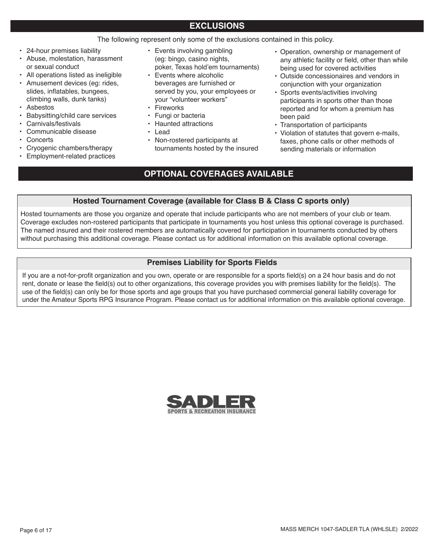# **EXCLUSIONS**

The following represent only some of the exclusions contained in this policy.

- 24-hour premises liability
- Abuse, molestation, harassment or sexual conduct
- All operations listed as ineligible
- Amusement devices (eg: rides, slides, inflatables, bungees, climbing walls, dunk tanks)
- Asbestos
- Babysitting/child care services
- Carnivals/festivals
- Communicable disease
- Concerts
- Cryogenic chambers/therapy
- Employment-related practices
- Events involving gambling (eg: bingo, casino nights, poker, Texas hold'em tournaments)
- Events where alcoholic beverages are furnished or served by you, your employees or your "volunteer workers"
- **Fireworks**
- Fungi or bacteria
- Haunted attractions
- Lead
- Non-rostered participants at tournaments hosted by the insured
- Operation, ownership or management of any athletic facility or field, other than while being used for covered activities
- Outside concessionaires and vendors in conjunction with your organization
- Sports events/activities involving participants in sports other than those reported and for whom a premium has been paid
- Transportation of participants
- Violation of statutes that govern e-mails, faxes, phone calls or other methods of sending materials or information

# **OPTIONAL COVERAGES AVAILABLE**

## **Hosted Tournament Coverage (available for Class B & Class C sports only)**

Hosted tournaments are those you organize and operate that include participants who are not members of your club or team. Coverage excludes non-rostered participants that participate in tournaments you host unless this optional coverage is purchased. The named insured and their rostered members are automatically covered for participation in tournaments conducted by others without purchasing this additional coverage. Please contact us for additional information on this available optional coverage.

# **Premises Liability for Sports Fields**

If you are a not-for-profit organization and you own, operate or are responsible for a sports field(s) on a 24 hour basis and do not rent, donate or lease the field(s) out to other organizations, this coverage provides you with premises liability for the field(s). The use of the field(s) can only be for those sports and age groups that you have purchased commercial general liability coverage for under the Amateur Sports RPG Insurance Program. Please contact us for additional information on this available optional coverage.

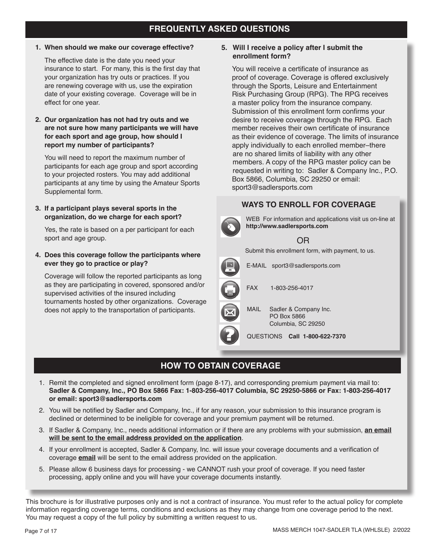# **FREQUENTLY ASKED QUESTIONS**

**1. When should we make our coverage effective?**

The effective date is the date you need your insurance to start. For many, this is the first day that your organization has try outs or practices. If you are renewing coverage with us, use the expiration date of your existing coverage. Coverage will be in effect for one year.

**2. Our organization has not had try outs and we are not sure how many participants we will have for each sport and age group, how should I report my number of participants?**

You will need to report the maximum number of participants for each age group and sport according to your projected rosters. You may add additional participants at any time by using the Amateur Sports Supplemental form.

**3. If a participant plays several sports in the organization, do we charge for each sport?**

Yes, the rate is based on a per participant for each sport and age group.

**4. Does this coverage follow the participants where ever they go to practice or play?**

Coverage will follow the reported participants as long as they are participating in covered, sponsored and/or supervised activities of the insured including tournaments hosted by other organizations. Coverage does not apply to the transportation of participants.

#### **5. Will I receive a policy after I submit the enrollment form?**

You will receive a certificate of insurance as proof of coverage. Coverage is offered exclusively through the Sports, Leisure and Entertainment Risk Purchasing Group (RPG). The RPG receives a master policy from the insurance company. Submission of this enrollment form confirms your desire to receive coverage through the RPG. Each member receives their own certificate of insurance as their evidence of coverage. The limits of insurance apply individually to each enrolled member–there are no shared limits of liability with any other members. A copy of the RPG master policy can be requested in writing to: Sadler & Company Inc., P.O. Box 5866, Columbia, SC 29250 or email: sport3@sadlersports.com

# **WAYS TO ENROLL FOR COVERAGE**



# **HOW TO OBTAIN COVERAGE**

- 1. Remit the completed and signed enrollment form (page 8-17), and corresponding premium payment via mail to: **Sadler & Company, Inc., PO Box 5866 Fax: 1-803-256-4017 Columbia, SC 29250-5866 or Fax: 1-803-256-4017 or email: sport3@sadlersports.com**
- 2. You will be notified by Sadler and Company, Inc., if for any reason, your submission to this insurance program is declined or determined to be ineligible for coverage and your premium payment will be returned.
- 3. If Sadler & Company, Inc., needs additional information or if there are any problems with your submission, **an email will be sent to the email address provided on the application**.
- 4. If your enrollment is accepted, Sadler & Company, Inc. will issue your coverage documents and a verification of coverage **email** will be sent to the email address provided on the application.
- 5. Please allow 6 business days for processing we CANNOT rush your proof of coverage. If you need faster processing, apply online and you will have your coverage documents instantly.

This brochure is for illustrative purposes only and is not a contract of insurance. You must refer to the actual policy for complete information regarding coverage terms, conditions and exclusions as they may change from one coverage period to the next. You may request a copy of the full policy by submitting a written request to us.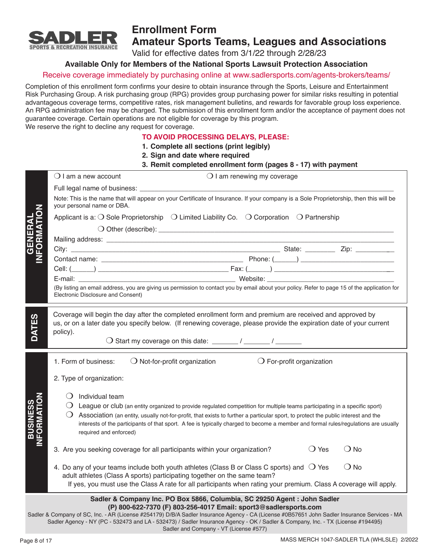

# **Enrollment Form Amateur Sports Teams, Leagues and Associations**

Valid for effective dates from 3/1/22 through 2/28/23

## **Available Only for Members of the National Sports Lawsuit Protection Association**

## Receive coverage immediately by purchasing online at www.sadlersports.com/agents-brokers/teams/

Completion of this enrollment form confirms your desire to obtain insurance through the Sports, Leisure and Entertainment Risk Purchasing Group. A risk purchasing group (RPG) provides group purchasing power for similar risks resulting in potential advantageous coverage terms, competitive rates, risk management bulletins, and rewards for favorable group loss experience. An RPG administration fee may be charged. The submission of this enrollment form and/or the acceptance of payment does not guarantee coverage. Certain operations are not eligible for coverage by this program.

We reserve the right to decline any request for coverage.

#### **TO AVOID PROCESSING DELAYS, PLEASE:**

**1. Complete all sections (print legibly)**

- **2. Sign and date where required**
- **3. Remit completed enrollment form (pages 8 17) with payment**

|                                                                                                                                                                                                                                                                                                                                                                                               | $\bigcirc$ I am renewing my coverage<br>$\bigcirc$ I am a new account                                                                                                                                                                       |  |  |  |  |  |  |
|-----------------------------------------------------------------------------------------------------------------------------------------------------------------------------------------------------------------------------------------------------------------------------------------------------------------------------------------------------------------------------------------------|---------------------------------------------------------------------------------------------------------------------------------------------------------------------------------------------------------------------------------------------|--|--|--|--|--|--|
|                                                                                                                                                                                                                                                                                                                                                                                               |                                                                                                                                                                                                                                             |  |  |  |  |  |  |
|                                                                                                                                                                                                                                                                                                                                                                                               | Note: This is the name that will appear on your Certificate of Insurance. If your company is a Sole Proprietorship, then this will be<br>your personal name or DBA.                                                                         |  |  |  |  |  |  |
| ō<br><b>GENERAL<br/>IFORMATIO</b>                                                                                                                                                                                                                                                                                                                                                             | Applicant is a: $\bigcirc$ Sole Proprietorship $\bigcirc$ Limited Liability Co. $\bigcirc$ Corporation $\bigcirc$ Partnership                                                                                                               |  |  |  |  |  |  |
|                                                                                                                                                                                                                                                                                                                                                                                               |                                                                                                                                                                                                                                             |  |  |  |  |  |  |
|                                                                                                                                                                                                                                                                                                                                                                                               |                                                                                                                                                                                                                                             |  |  |  |  |  |  |
|                                                                                                                                                                                                                                                                                                                                                                                               |                                                                                                                                                                                                                                             |  |  |  |  |  |  |
|                                                                                                                                                                                                                                                                                                                                                                                               |                                                                                                                                                                                                                                             |  |  |  |  |  |  |
|                                                                                                                                                                                                                                                                                                                                                                                               |                                                                                                                                                                                                                                             |  |  |  |  |  |  |
|                                                                                                                                                                                                                                                                                                                                                                                               | E-mail: Website: Website:                                                                                                                                                                                                                   |  |  |  |  |  |  |
|                                                                                                                                                                                                                                                                                                                                                                                               | (By listing an email address, you are giving us permission to contact you by email about your policy. Refer to page 15 of the application for<br>Electronic Disclosure and Consent)                                                         |  |  |  |  |  |  |
|                                                                                                                                                                                                                                                                                                                                                                                               |                                                                                                                                                                                                                                             |  |  |  |  |  |  |
| <b>DATES</b>                                                                                                                                                                                                                                                                                                                                                                                  | Coverage will begin the day after the completed enrollment form and premium are received and approved by<br>us, or on a later date you specify below. (If renewing coverage, please provide the expiration date of your current<br>policy). |  |  |  |  |  |  |
|                                                                                                                                                                                                                                                                                                                                                                                               |                                                                                                                                                                                                                                             |  |  |  |  |  |  |
|                                                                                                                                                                                                                                                                                                                                                                                               | $\bigcirc$ Not-for-profit organization $\bigcirc$ For-profit organization<br>1. Form of business:                                                                                                                                           |  |  |  |  |  |  |
|                                                                                                                                                                                                                                                                                                                                                                                               | 2. Type of organization:                                                                                                                                                                                                                    |  |  |  |  |  |  |
|                                                                                                                                                                                                                                                                                                                                                                                               | $\bigcirc$ Individual team                                                                                                                                                                                                                  |  |  |  |  |  |  |
|                                                                                                                                                                                                                                                                                                                                                                                               | $\bigcirc$ League or club (an entity organized to provide regulated competition for multiple teams participating in a specific sport)                                                                                                       |  |  |  |  |  |  |
| <b>INFORMATIO</b><br><b>BUSINESS</b><br>$\bigcirc$ Association (an entity, usually not-for-profit, that exists to further a particular sport, to protect the public interest and the<br>interests of the participants of that sport. A fee is typically charged to become a member and formal rules/regulations are usually<br>required and enforced)                                         |                                                                                                                                                                                                                                             |  |  |  |  |  |  |
|                                                                                                                                                                                                                                                                                                                                                                                               | $\bigcirc$ Yes<br>$\bigcirc$ No<br>3. Are you seeking coverage for all participants within your organization?                                                                                                                               |  |  |  |  |  |  |
|                                                                                                                                                                                                                                                                                                                                                                                               | $\bigcirc$ No<br>4. Do any of your teams include both youth athletes (Class B or Class C sports) and $\bigcirc$ Yes<br>adult athletes (Class A sports) participating together on the same team?                                             |  |  |  |  |  |  |
|                                                                                                                                                                                                                                                                                                                                                                                               | If yes, you must use the Class A rate for all participants when rating your premium. Class A coverage will apply.                                                                                                                           |  |  |  |  |  |  |
|                                                                                                                                                                                                                                                                                                                                                                                               | Sadler & Company Inc. PO Box 5866, Columbia, SC 29250 Agent : John Sadler                                                                                                                                                                   |  |  |  |  |  |  |
| (P) 800-622-7370 (F) 803-256-4017 Email: sport3@sadlersports.com<br>Sadler & Company of SC, Inc. - AR (License #254179) D/B/A Sadler Insurance Agency - CA (License #0B57651 John Sadler Insurance Services - MA<br>Sadler Agency - NY (PC - 532473 and LA - 532473) / Sadler Insurance Agency - OK / Sadler & Company, Inc. - TX (License #194495)<br>Sadler and Company - VT (License #577) |                                                                                                                                                                                                                                             |  |  |  |  |  |  |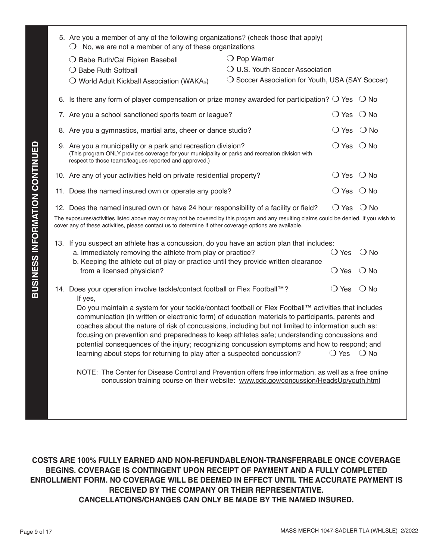| 5. Are you a member of any of the following organizations? (check those that apply)<br>$\bigcirc$ No, we are not a member of any of these organizations                                                                                           |                                                  |                |               |  |  |  |
|---------------------------------------------------------------------------------------------------------------------------------------------------------------------------------------------------------------------------------------------------|--------------------------------------------------|----------------|---------------|--|--|--|
| ○ Babe Ruth/Cal Ripken Baseball                                                                                                                                                                                                                   | $\bigcirc$ Pop Warner                            |                |               |  |  |  |
| ○ Babe Ruth Softball                                                                                                                                                                                                                              | O U.S. Youth Soccer Association                  |                |               |  |  |  |
| $\bigcirc$ World Adult Kickball Association (WAKA.)                                                                                                                                                                                               | ◯ Soccer Association for Youth, USA (SAY Soccer) |                |               |  |  |  |
| 6. Is there any form of player compensation or prize money awarded for participation? $\bigcirc$ Yes $\bigcirc$ No                                                                                                                                |                                                  |                |               |  |  |  |
| 7. Are you a school sanctioned sports team or league?                                                                                                                                                                                             |                                                  | $\bigcirc$ Yes | $\bigcirc$ No |  |  |  |
| 8. Are you a gymnastics, martial arts, cheer or dance studio?                                                                                                                                                                                     |                                                  | $\bigcirc$ Yes | $\bigcirc$ No |  |  |  |
| 9. Are you a municipality or a park and recreation division?<br>(This program ONLY provides coverage for your municipality or parks and recreation division with<br>respect to those teams/leagues reported and approved.)                        |                                                  | $\bigcirc$ Yes | $\bigcirc$ No |  |  |  |
| 10. Are any of your activities held on private residential property?                                                                                                                                                                              |                                                  | $\bigcirc$ Yes | $\bigcirc$ No |  |  |  |
| 11. Does the named insured own or operate any pools?                                                                                                                                                                                              |                                                  | $\bigcirc$ Yes | $\bigcirc$ No |  |  |  |
| 12. Does the named insured own or have 24 hour responsibility of a facility or field?                                                                                                                                                             |                                                  | $\bigcirc$ Yes | $\bigcirc$ No |  |  |  |
| The exposures/activities listed above may or may not be covered by this progam and any resulting claims could be denied. If you wish to<br>cover any of these activities, please contact us to determine if other coverage options are available. |                                                  |                |               |  |  |  |
| 13. If you suspect an athlete has a concussion, do you have an action plan that includes:                                                                                                                                                         |                                                  |                |               |  |  |  |
| a. Immediately removing the athlete from play or practice?<br>b. Keeping the athlete out of play or practice until they provide written clearance                                                                                                 |                                                  | $\bigcirc$ Yes | $\bigcirc$ No |  |  |  |
| from a licensed physician?                                                                                                                                                                                                                        |                                                  | $\bigcirc$ Yes | $\bigcirc$ No |  |  |  |
| 14. Does your operation involve tackle/contact football or Flex Football™?<br>If yes,                                                                                                                                                             |                                                  | $\bigcirc$ Yes | $\bigcirc$ No |  |  |  |
| Do you maintain a system for your tackle/contact football or Flex Football™ activities that includes<br>communication (in written or electronic form) of education materials to participants, parents and                                         |                                                  |                |               |  |  |  |
| coaches about the nature of risk of concussions, including but not limited to information such as:                                                                                                                                                |                                                  |                |               |  |  |  |
| focusing on prevention and preparedness to keep athletes safe; understanding concussions and                                                                                                                                                      |                                                  |                |               |  |  |  |
| potential consequences of the injury; recognizing concussion symptoms and how to respond; and<br>learning about steps for returning to play after a suspected concussion?                                                                         |                                                  | $\bigcirc$ Yes | $\bigcirc$ No |  |  |  |
|                                                                                                                                                                                                                                                   |                                                  |                |               |  |  |  |
| NOTE: The Center for Disease Control and Prevention offers free information, as well as a free online<br>concussion training course on their website: www.cdc.gov/concussion/HeadsUp/youth.html                                                   |                                                  |                |               |  |  |  |
|                                                                                                                                                                                                                                                   |                                                  |                |               |  |  |  |
|                                                                                                                                                                                                                                                   |                                                  |                |               |  |  |  |
|                                                                                                                                                                                                                                                   |                                                  |                |               |  |  |  |

**COSTS ARE 100% FULLY EARNED AND NON-REFUNDABLE/NON-TRANSFERRABLE ONCE COVERAGE BEGINS. COVERAGE IS CONTINGENT UPON RECEIPT OF PAYMENT AND A FULLY COMPLETED ENROLLMENT FORM. NO COVERAGE WILL BE DEEMED IN EFFECT UNTIL THE ACCURATE PAYMENT IS RECEIVED BY THE COMPANY OR THEIR REPRESENTATIVE. CANCELLATIONS/CHANGES CAN ONLY BE MADE BY THE NAMED INSURED.**

**BUSINESS INFORMATION CONTINUED**

**BUSINESS INFORMATION CONTINUED**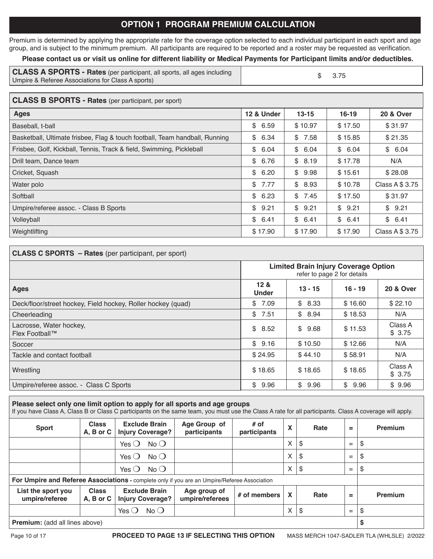# **OPTION 1 PROGRAM PREMIUM CALCULATION**

Premium is determined by applying the appropriate rate for the coverage option selected to each individual participant in each sport and age group, and is subject to the minimum premium. All participants are required to be reported and a roster may be requested as verification.

## **Please contact us or visit us online for different liability or Medical Payments for Participant limits and/or deductibles.**

| <b>CLASS A SPORTS - Rates</b> (per participant, all sports, all ages including | \$ 3.75 |
|--------------------------------------------------------------------------------|---------|
| Umpire & Referee Associations for Class A sports)                              |         |

#### **CLASS B SPORTS - Rates** (per participant, per sport)

| Ages                                                                        | 12 & Under | $13 - 15$ | $16 - 19$ | <b>20 &amp; Over</b> |
|-----------------------------------------------------------------------------|------------|-----------|-----------|----------------------|
| Baseball, t-ball                                                            | \$6.59     | \$10.97   | \$17.50   | \$31.97              |
| Basketball, Ultimate frisbee, Flag & touch football, Team handball, Running | \$6.34     | \$7.58    | \$15.85   | \$21.35              |
| Frisbee, Golf, Kickball, Tennis, Track & field, Swimming, Pickleball        | \$6.04     | \$6.04    | \$6.04    | \$6.04               |
| Drill team, Dance team                                                      | \$6.76     | \$8.19    | \$17.78   | N/A                  |
| Cricket, Squash                                                             | \$6.20     | \$9.98    | \$15.61   | \$28.08              |
| Water polo                                                                  | \$7.77     | \$8.93    | \$10.78   | Class A \$ 3.75      |
| Softball                                                                    | \$6.23     | \$7.45    | \$17.50   | \$31.97              |
| Umpire/referee assoc. - Class B Sports                                      | \$9.21     | \$9.21    | \$9.21    | \$9.21               |
| Volleyball                                                                  | \$6.41     | \$6.41    | \$6.41    | \$6.41               |
| Weightlifting                                                               | \$17.90    | \$17.90   | \$17.90   | Class A \$ 3.75      |

| <b>CLASS C SPORTS - Rates (per participant, per sport)</b>   |                                                                            |           |           |                      |  |  |  |
|--------------------------------------------------------------|----------------------------------------------------------------------------|-----------|-----------|----------------------|--|--|--|
|                                                              | <b>Limited Brain Injury Coverage Option</b><br>refer to page 2 for details |           |           |                      |  |  |  |
| <b>Ages</b>                                                  | 12 <sub>8</sub><br><b>Under</b>                                            | $13 - 15$ | $16 - 19$ | <b>20 &amp; Over</b> |  |  |  |
| Deck/floor/street hockey, Field hockey, Roller hockey (quad) | 7.09<br>\$                                                                 | \$8.33    | \$16.60   | \$22.10              |  |  |  |
| Cheerleading                                                 | 7.51<br>\$                                                                 | \$8.94    | \$18.53   | N/A                  |  |  |  |
| Lacrosse, Water hockey,<br>Flex Football™                    | \$<br>8.52                                                                 | \$9.68    | \$11.53   | Class A<br>\$3.75    |  |  |  |
| Soccer                                                       | \$9.16                                                                     | \$10.50   | \$12.66   | N/A                  |  |  |  |
| Tackle and contact football                                  | \$24.95                                                                    | \$44.10   | \$58.91   | N/A                  |  |  |  |
| Wrestling                                                    | \$18.65                                                                    | \$18.65   | \$18.65   | Class A<br>\$3.75    |  |  |  |
| Umpire/referee assoc. - Class C Sports                       | \$<br>9.96                                                                 | \$9.96    | \$9.96    | \$9.96               |  |  |  |

#### **Please select only one limit option to apply for all sports and age groups** If you have Class A, Class B or Class C participants on the same team, you must use the Class A rate for all participants. Class A coverage will apply. **Sport Class A, B or C Exclude Brain Injury Coverage? Age Group of participants # of**   $\begin{array}{c|c|c|c|c} \hline \text{# } & \text{# } & \text{ } \end{array}$  **Rate**  $\begin{array}{c|c|c} \hline \text{# } & \text{# } & \text{ } \end{array}$  **Premium** Yes  $\bigcirc$  No  $\bigcirc$  |  $\bigvee$  |  $\bigvee$  |  $\bigvee$  |  $\bigvee$  |  $\bigvee$  |  $\bigvee$  |  $\bigvee$  |  $\bigvee$  |  $\bigvee$  |  $\bigvee$  |  $\bigvee$  |  $\bigvee$  |  $\bigvee$  |  $\bigvee$  |  $\bigvee$  |  $\bigvee$  |  $\bigvee$  |  $\bigvee$  |  $\bigvee$  |  $\bigvee$  |  $\bigvee$  |  $\bigvee$  |  $\$ Yes  $\bigcirc$  No  $\bigcirc$  |  $\bigvee$  |  $\bigvee$  |  $\bigvee$  |  $\bigvee$  |  $\bigvee$  |  $\bigvee$  |  $\bigvee$  |  $\bigvee$  |  $\bigvee$  |  $\bigvee$  |  $\bigvee$  |  $\bigvee$  |  $\bigvee$  |  $\bigvee$  |  $\bigvee$  |  $\bigvee$  |  $\bigvee$  |  $\bigvee$  |  $\bigvee$  |  $\bigvee$  |  $\bigvee$  |  $\bigvee$  |  $\$

|                                                                                                                                                                                             |  | $No$ $O$<br>Yes ( |  |  | $\times$ |  | $=$ | S |
|---------------------------------------------------------------------------------------------------------------------------------------------------------------------------------------------|--|-------------------|--|--|----------|--|-----|---|
| For Umpire and Referee Associations - complete only if you are an Umpire/Referee Association                                                                                                |  |                   |  |  |          |  |     |   |
| <b>Class</b><br><b>Exclude Brain</b><br>List the sport you<br>Age group of<br># of members<br>Rate<br>$\equiv$<br>umpire/referees<br>umpire/referee<br>A, B or C<br><b>Injury Coverage?</b> |  |                   |  |  | Premium  |  |     |   |
|                                                                                                                                                                                             |  | $No$ $O$<br>Yes   |  |  | $\times$ |  | $=$ | S |
| <b>Premium:</b> (add all lines above)                                                                                                                                                       |  |                   |  |  |          |  |     |   |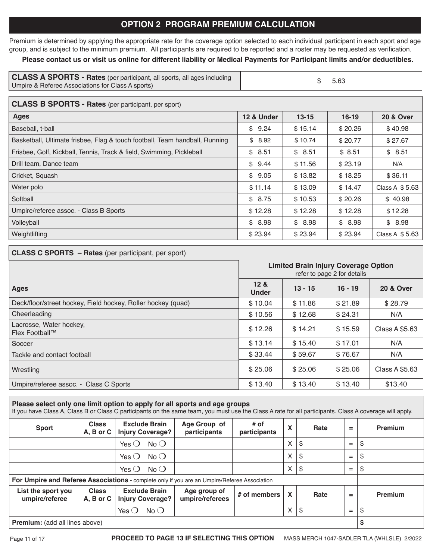# **OPTION 2 PROGRAM PREMIUM CALCULATION**

Premium is determined by applying the appropriate rate for the coverage option selected to each individual participant in each sport and age group, and is subject to the minimum premium. All participants are required to be reported and a roster may be requested as verification.

## **Please contact us or visit us online for different liability or Medical Payments for Participant limits and/or deductibles.**

| <b>CLASS A SPORTS - Rates</b> (per participant, all sports, all ages including | \$ 5.63 |
|--------------------------------------------------------------------------------|---------|
| Umpire & Referee Associations for Class A sports)                              |         |

## **CLASS B SPORTS - Rates** (per participant, per sport)

| Ages                                                                        | 12 & Under         | $13 - 15$ | $16 - 19$ | <b>20 &amp; Over</b> |
|-----------------------------------------------------------------------------|--------------------|-----------|-----------|----------------------|
| Baseball, t-ball                                                            | \$9.24             | \$15.14   | \$20.26   | \$40.98              |
| Basketball, Ultimate frisbee, Flag & touch football, Team handball, Running | \$8.92             | \$10.74   | \$20.77   | \$27.67              |
| Frisbee, Golf, Kickball, Tennis, Track & field, Swimming, Pickleball        | 8.51<br>$^{\circ}$ | \$8.51    | \$8.51    | \$8.51               |
| Drill team, Dance team                                                      | \$9.44             | \$11.56   | \$23.19   | N/A                  |
| Cricket, Squash                                                             | \$9.05             | \$13.82   | \$18.25   | \$36.11              |
| Water polo                                                                  | \$11.14            | \$13.09   | \$14.47   | Class A \$5.63       |
| Softball                                                                    | \$8.75             | \$10.53   | \$20.26   | \$40.98              |
| Umpire/referee assoc. - Class B Sports                                      | \$12.28            | \$12.28   | \$12.28   | \$12.28              |
| Volleyball                                                                  | \$8.98             | \$8.98    | \$8.98    | \$8.98               |
| Weightlifting                                                               | \$23.94            | \$23.94   | \$23.94   | Class A \$5.63       |

#### **CLASS C SPORTS – Rates** (per participant, per sport)

|                                                              | <b>Limited Brain Injury Coverage Option</b><br>refer to page 2 for details |           |           |                      |  |
|--------------------------------------------------------------|----------------------------------------------------------------------------|-----------|-----------|----------------------|--|
| <b>Ages</b>                                                  | 12 <sub>8</sub><br><b>Under</b>                                            | $13 - 15$ | $16 - 19$ | <b>20 &amp; Over</b> |  |
| Deck/floor/street hockey, Field hockey, Roller hockey (quad) | \$10.04                                                                    | \$11.86   | \$21.89   | \$28.79              |  |
| Cheerleading                                                 | \$10.56                                                                    | \$12.68   | \$24.31   | N/A                  |  |
| Lacrosse, Water hockey,<br>Flex Football™                    | \$12.26                                                                    | \$14.21   | \$15.59   | Class A \$5.63       |  |
| Soccer                                                       | \$13.14                                                                    | \$15.40   | \$17.01   | N/A                  |  |
| Tackle and contact football                                  | \$33.44                                                                    | \$59.67   | \$76.67   | N/A                  |  |
| Wrestling                                                    | \$25.06                                                                    | \$25.06   | \$25.06   | Class A \$5.63       |  |
| Umpire/referee assoc. - Class C Sports                       | \$13.40                                                                    | \$13.40   | \$13.40   | \$13.40              |  |

# **Please select only one limit option to apply for all sports and age groups** If you have Class A, Class B or Class C participants on the same team, you must use the Class A rate for all participants. Class A coverage will apply.

| <b>Sport</b>                                                                                 | <b>Class</b><br>A, B or C | <b>Exclude Brain</b><br><b>Injury Coverage?</b> | Age Group of<br>participants    | $#$ of<br>participants | X                         | Rate | $=$      | Premium |
|----------------------------------------------------------------------------------------------|---------------------------|-------------------------------------------------|---------------------------------|------------------------|---------------------------|------|----------|---------|
|                                                                                              |                           | No O<br>Yes $\bigcirc$                          |                                 |                        | X                         | S.   | $=$      | S       |
|                                                                                              |                           | $No$ $O$<br>Yes $\bigcirc$                      |                                 |                        | X                         | \$   | $=$      | S       |
|                                                                                              |                           | $No$ $O$<br>Yes $\bigcirc$                      |                                 |                        | X                         | -S   | $=$      |         |
| For Umpire and Referee Associations - complete only if you are an Umpire/Referee Association |                           |                                                 |                                 |                        |                           |      |          |         |
| List the sport you<br>umpire/referee                                                         | <b>Class</b><br>A, B or C | <b>Exclude Brain</b><br><b>Injury Coverage?</b> | Age group of<br>umpire/referees | # of members           | $\boldsymbol{\mathsf{x}}$ | Rate | $\equiv$ | Premium |
|                                                                                              |                           | $No$ $O$<br>Yes $\bigcirc$                      |                                 |                        | X                         | \$   | $=$      |         |
| <b>Premium:</b> (add all lines above)                                                        |                           |                                                 |                                 |                        |                           |      |          |         |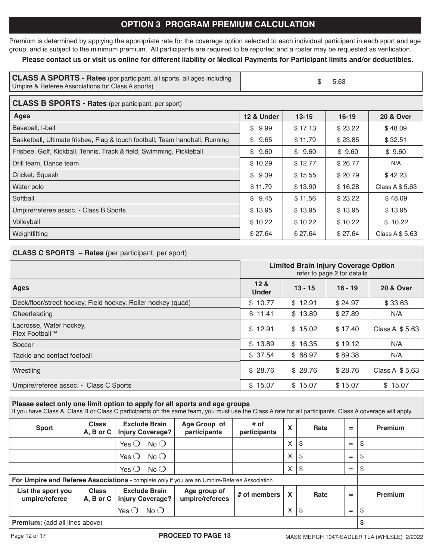# **OPTION 3 PROGRAM PREMIUM CALCULATION**

Premium is determined by applying the appropriate rate for the coverage option selected to each individual participant in each sport and age group, and is subject to the minimum premium. All participants are required to be reported and a roster may be requested as verification.

## **Please contact us or visit us online for different liability or Medical Payments for Participant limits and/or deductibles.**

| <b>CLASS A SPORTS - Rates</b> (per participant, all sports, all ages including | \$5.63 |
|--------------------------------------------------------------------------------|--------|
| Umpire & Referee Associations for Class A sports)                              |        |

## **CLASS B SPORTS - Rates** (per participant, per sport)

| Ages                                                                        | 12 & Under | $13 - 15$ | $16 - 19$ | <b>20 &amp; Over</b> |
|-----------------------------------------------------------------------------|------------|-----------|-----------|----------------------|
| Baseball, t-ball                                                            | \$9.99     | \$17.13   | \$23.22   | \$48.09              |
| Basketball, Ultimate frisbee, Flag & touch football, Team handball, Running | \$9.65     | \$11.79   | \$23.85   | \$32.51              |
| Frisbee, Golf, Kickball, Tennis, Track & field, Swimming, Pickleball        | \$9.60     | \$9.60    | \$9.60    | \$9.60               |
| Drill team, Dance team                                                      | \$10.29    | \$12.77   | \$26.77   | N/A                  |
| Cricket, Squash                                                             | \$9.39     | \$15.55   | \$20.79   | \$42.23              |
| Water polo                                                                  | \$11.79    | \$13.90   | \$16.28   | Class A \$ 5.63      |
| Softball                                                                    | \$9.45     | \$11.56   | \$23.22   | \$48.09              |
| Umpire/referee assoc. - Class B Sports                                      | \$13.95    | \$13.95   | \$13.95   | \$13.95              |
| Volleyball                                                                  | \$10.22    | \$10.22   | \$10.22   | \$10.22              |
| Weightlifting                                                               | \$27.64    | \$27.64   | \$27.64   | Class A \$ 5.63      |

#### **CLASS C SPORTS – Rates** (per participant, per sport)

|                                                              | <b>Limited Brain Injury Coverage Option</b><br>refer to page 2 for details |           |           |                 |
|--------------------------------------------------------------|----------------------------------------------------------------------------|-----------|-----------|-----------------|
| <b>Ages</b>                                                  | 12 <sub>8</sub><br><b>Under</b>                                            | $13 - 15$ | $16 - 19$ | 20 & Over       |
| Deck/floor/street hockey, Field hockey, Roller hockey (quad) | \$10.77                                                                    | \$12.91   | \$24.97   | \$33.63         |
| Cheerleading                                                 | \$11.41                                                                    | \$13.89   | \$27.89   | N/A             |
| Lacrosse, Water hockey,<br>Flex Football™                    | \$12.91                                                                    | \$15.02   | \$17.40   | Class A $$5.63$ |
| Soccer                                                       | \$13.89                                                                    | \$16.35   | \$19.12   | N/A             |
| Tackle and contact football                                  | \$37.54                                                                    | \$68.97   | \$89.38   | N/A             |
| Wrestling                                                    | \$28.76                                                                    | \$28.76   | \$28.76   | Class A $$5.63$ |
| Umpire/referee assoc. - Class C Sports                       | \$15.07                                                                    | \$15.07   | \$15.07   | \$15.07         |

## **Please select only one limit option to apply for all sports and age groups**

If you have Class A, Class B or Class C participants on the same team, you must use the Class A rate for all participants. Class A coverage will apply.

| <b>Sport</b>                                                                                 | <b>Class</b><br>A, B or C     | <b>Exclude Brain</b><br><b>Injury Coverage?</b> | Age Group of<br>participants    | $#$ of<br>participants | X | Rate | $=$ | <b>Premium</b> |
|----------------------------------------------------------------------------------------------|-------------------------------|-------------------------------------------------|---------------------------------|------------------------|---|------|-----|----------------|
|                                                                                              |                               | Yes $\bigcirc$<br>$No$ $O$                      |                                 |                        | X | S    | $=$ | \$             |
|                                                                                              |                               | $No$ $O$<br>Yes $\bigcirc$                      |                                 |                        | X | \$   | $=$ | \$             |
|                                                                                              |                               | $No$ $O$<br>Yes $\bigcirc$                      |                                 |                        | X | \$   | $=$ | \$             |
| For Umpire and Referee Associations - complete only if you are an Umpire/Referee Association |                               |                                                 |                                 |                        |   |      |     |                |
| List the sport you<br>umpire/referee                                                         | <b>Class</b><br>$A, B$ or $C$ | <b>Exclude Brain</b><br><b>Injury Coverage?</b> | Age group of<br>umpire/referees | # of members           | X | Rate | $=$ | <b>Premium</b> |
|                                                                                              |                               | No O<br>Yes $\bigcirc$                          |                                 |                        | X | S.   | $=$ | \$             |
| <b>Premium:</b> (add all lines above)                                                        |                               |                                                 |                                 |                        |   | S    |     |                |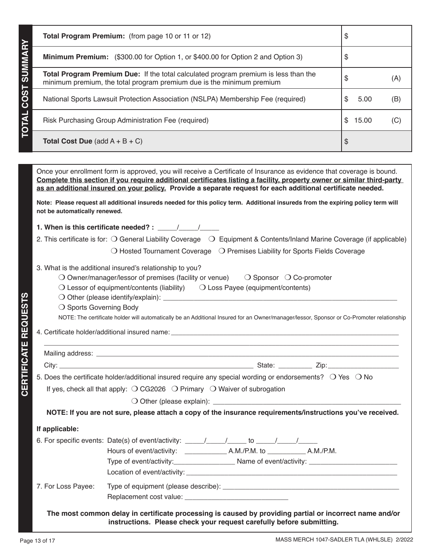| Total Program Premium: (from page 10 or 11 or 12)                                                                                                                                                                                                                                                                                                                                                                                                                                                                                                                    | \$          |     |
|----------------------------------------------------------------------------------------------------------------------------------------------------------------------------------------------------------------------------------------------------------------------------------------------------------------------------------------------------------------------------------------------------------------------------------------------------------------------------------------------------------------------------------------------------------------------|-------------|-----|
| Minimum Premium: (\$300.00 for Option 1, or \$400.00 for Option 2 and Option 3)                                                                                                                                                                                                                                                                                                                                                                                                                                                                                      | \$          |     |
| Total Program Premium Due: If the total calculated program premium is less than the<br>minimum premium, the total program premium due is the minimum premium                                                                                                                                                                                                                                                                                                                                                                                                         | \$          | (A) |
| National Sports Lawsuit Protection Association (NSLPA) Membership Fee (required)                                                                                                                                                                                                                                                                                                                                                                                                                                                                                     | \$<br>5.00  | (B) |
| Risk Purchasing Group Administration Fee (required)                                                                                                                                                                                                                                                                                                                                                                                                                                                                                                                  | \$<br>15.00 | (C) |
| <b>Total Cost Due</b> (add $A + B + C$ )                                                                                                                                                                                                                                                                                                                                                                                                                                                                                                                             | \$          |     |
|                                                                                                                                                                                                                                                                                                                                                                                                                                                                                                                                                                      |             |     |
| Once your enrollment form is approved, you will receive a Certificate of Insurance as evidence that coverage is bound.<br>Complete this section if you require additional certificates listing a facility, property owner or similar third-party<br>as an additional insured on your policy. Provide a separate request for each additional certificate needed.                                                                                                                                                                                                      |             |     |
| Note: Please request all additional insureds needed for this policy term. Additional insureds from the expiring policy term will<br>not be automatically renewed.                                                                                                                                                                                                                                                                                                                                                                                                    |             |     |
| 1. When is this certificate needed? : $\frac{1}{\sqrt{1-\frac{1}{2}}}\$                                                                                                                                                                                                                                                                                                                                                                                                                                                                                              |             |     |
| 2. This certificate is for: O General Liability Coverage 0 Equipment & Contents/Inland Marine Coverage (if applicable)                                                                                                                                                                                                                                                                                                                                                                                                                                               |             |     |
| $\bigcirc$ Hosted Tournament Coverage $\bigcirc$ Premises Liability for Sports Fields Coverage                                                                                                                                                                                                                                                                                                                                                                                                                                                                       |             |     |
| 3. What is the additional insured's relationship to you?<br>$\bigcirc$ Owner/manager/lessor of premises (facility or venue)<br>$\bigcirc$ Sponsor $\bigcirc$ Co-promoter<br>$\bigcirc$ Lessor of equipment/contents (liability) $\bigcirc$ Loss Payee (equipment/contents)<br>O Other (please identify/explain): ____________<br>○ Sports Governing Body<br>NOTE: The certificate holder will automatically be an Additional Insured for an Owner/manager/lessor, Sponsor or Co-Promoter relationship<br>4. Certificate holder/additional insured name: ____________ |             |     |
|                                                                                                                                                                                                                                                                                                                                                                                                                                                                                                                                                                      |             |     |
|                                                                                                                                                                                                                                                                                                                                                                                                                                                                                                                                                                      |             |     |
| 5. Does the certificate holder/additional insured require any special wording or endorsements? O Yes O No                                                                                                                                                                                                                                                                                                                                                                                                                                                            |             |     |
| If yes, check all that apply: $\bigcirc$ CG2026 $\bigcirc$ Primary $\bigcirc$ Waiver of subrogation                                                                                                                                                                                                                                                                                                                                                                                                                                                                  |             |     |
|                                                                                                                                                                                                                                                                                                                                                                                                                                                                                                                                                                      |             |     |
| NOTE: If you are not sure, please attach a copy of the insurance requirements/instructions you've received.                                                                                                                                                                                                                                                                                                                                                                                                                                                          |             |     |
| If applicable:                                                                                                                                                                                                                                                                                                                                                                                                                                                                                                                                                       |             |     |
|                                                                                                                                                                                                                                                                                                                                                                                                                                                                                                                                                                      |             |     |
|                                                                                                                                                                                                                                                                                                                                                                                                                                                                                                                                                                      |             |     |
|                                                                                                                                                                                                                                                                                                                                                                                                                                                                                                                                                                      |             |     |
|                                                                                                                                                                                                                                                                                                                                                                                                                                                                                                                                                                      |             |     |

7. For Loss Payee: Type of equipment (please describe): \_\_\_\_\_\_\_\_\_\_\_\_\_\_\_\_\_\_\_\_\_\_\_\_\_\_\_\_\_\_\_\_\_\_\_\_\_\_\_\_\_\_\_\_\_\_ Replacement cost value: \_\_\_\_\_

**The most common delay in certificate processing is caused by providing partial or incorrect name and/or instructions. Please check your request carefully before submitting.**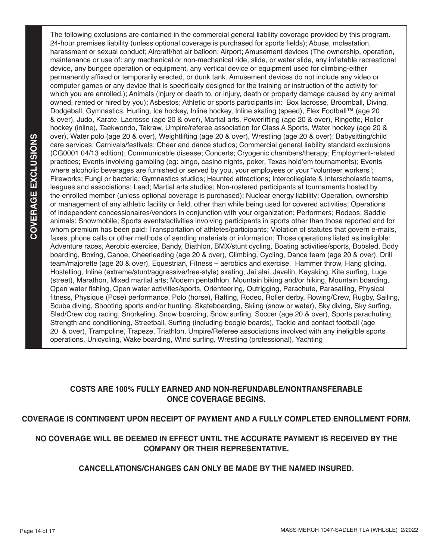The following exclusions are contained in the commercial general liability coverage provided by this program. 24-hour premises liability (unless optional coverage is purchased for sports fields); Abuse, molestation, harassment or sexual conduct; Aircraft/hot air balloon; Airport; Amusement devices (The ownership, operation, maintenance or use of: any mechanical or non-mechanical ride, slide, or water slide, any inflatable recreational device, any bungee operation or equipment, any vertical device or equipment used for climbing-either permanently affixed or temporarily erected, or dunk tank. Amusement devices do not include any video or computer games or any device that is specifically designed for the training or instruction of the activity for which you are enrolled.); Animals (injury or death to, or injury, death or property damage caused by any animal owned, rented or hired by you); Asbestos; Athletic or sports participants in: Box lacrosse, Broomball, Diving, Dodgeball, Gymnastics, Hurling, Ice hockey, Inline hockey, Inline skating (speed), Flex Football™ (age 20 & over), Judo, Karate, Lacrosse (age 20 & over), Martial arts, Powerlifting (age 20 & over), Ringette, Roller hockey (inline), Taekwondo, Takraw, Umpire/referee association for Class A Sports, Water hockey (age 20 & over), Water polo (age 20 & over), Weightlifting (age 20 & over), Wrestling (age 20 & over); Babysitting/child care services; Carnivals/festivals; Cheer and dance studios; Commercial general liability standard exclusions (CG0001 04/13 edition); Communicable disease; Concerts; Cryogenic chambers/therapy; Employment-related practices; Events involving gambling (eg: bingo, casino nights, poker, Texas hold'em tournaments); Events where alcoholic beverages are furnished or served by you, your employees or your "volunteer workers"; Fireworks; Fungi or bacteria; Gymnastics studios; Haunted attractions; Intercollegiate & Interscholastic teams, leagues and associations; Lead; Martial arts studios; Non-rostered participants at tournaments hosted by the enrolled member (unless optional coverage is purchased); Nuclear energy liability; Operation, ownership or management of any athletic facility or field, other than while being used for covered activities; Operations of independent concessionaires/vendors in conjunction with your organization; Performers; Rodeos; Saddle animals; Snowmobile; Sports events/activities involving participants in sports other than those reported and for whom premium has been paid; Transportation of athletes/participants; Violation of statutes that govern e-mails, faxes, phone calls or other methods of sending materials or information; Those operations listed as ineligible: Adventure races, Aerobic exercise, Bandy, Biathlon, BMX/stunt cycling, Boating activities/sports, Bobsled, Body boarding, Boxing, Canoe, Cheerleading (age 20 & over), Climbing, Cycling, Dance team (age 20 & over), Drill team/majorette (age 20 & over), Equestrian, Fitness – aerobics and exercise, Hammer throw, Hang gliding, Hostelling, Inline (extreme/stunt/aggressive/free-style) skating, Jai alai, Javelin, Kayaking, Kite surfing, Luge (street), Marathon, Mixed martial arts; Modern pentathlon, Mountain biking and/or hiking, Mountain boarding, Open water fishing, Open water activities/sports, Orienteering, Outrigging, Parachute, Parasailing, Physical fitness, Physique (Pose) performance, Polo (horse), Rafting, Rodeo, Roller derby, Rowing/Crew, Rugby, Sailing, Scuba diving, Shooting sports and/or hunting, Skateboarding, Skiing (snow or water), Sky diving, Sky surfing, Sled/Crew dog racing, Snorkeling, Snow boarding, Snow surfing, Soccer (age 20 & over), Sports parachuting, Strength and conditioning, Streetball, Surfing (including boogie boards), Tackle and contact football (age 20 & over), Trampoline, Trapeze, Triathlon, Umpire/Referee associations involved with any ineligible sports operations, Unicycling, Wake boarding, Wind surfing, Wrestling (professional), Yachting

## **COSTS ARE 100% FULLY EARNED AND NON-REFUNDABLE/NONTRANSFERABLE ONCE COVERAGE BEGINS.**

# **COVERAGE IS CONTINGENT UPON RECEIPT OF PAYMENT AND A FULLY COMPLETED ENROLLMENT FORM.**

# **NO COVERAGE WILL BE DEEMED IN EFFECT UNTIL THE ACCURATE PAYMENT IS RECEIVED BY THE COMPANY OR THEIR REPRESENTATIVE.**

## **CANCELLATIONS/CHANGES CAN ONLY BE MADE BY THE NAMED INSURED.**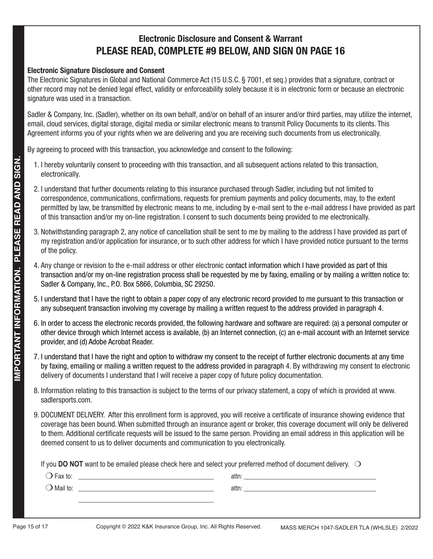# **Electronic Disclosure and Consent & Warrant PLEASE READ, COMPLETE #9 BELOW, AND SIGN ON PAGE 16**

## **Electronic Signature Disclosure and Consent**

The Electronic Signatures in Global and National Commerce Act (15 U.S.C. § 7001, et seq.) provides that a signature, contract or other record may not be denied legal effect, validity or enforceability solely because it is in electronic form or because an electronic signature was used in a transaction.

Sadler & Company, Inc. (Sadler), whether on its own behalf, and/or on behalf of an insurer and/or third parties, may utilize the internet, email, cloud services, digital storage, digital media or similar electronic means to transmit Policy Documents to its clients. This Agreement informs you of your rights when we are delivering and you are receiving such documents from us electronically.

By agreeing to proceed with this transaction, you acknowledge and consent to the following:

- 1. I hereby voluntarily consent to proceeding with this transaction, and all subsequent actions related to this transaction, electronically.
- 2. I understand that further documents relating to this insurance purchased through Sadler, including but not limited to correspondence, communications, confirmations, requests for premium payments and policy documents, may, to the extent permitted by law, be transmitted by electronic means to me, including by e-mail sent to the e-mail address I have provided as part of this transaction and/or my on-line registration. I consent to such documents being provided to me electronically.
- 3. Notwithstanding paragraph 2, any notice of cancellation shall be sent to me by mailing to the address I have provided as part of my registration and/or application for insurance, or to such other address for which I have provided notice pursuant to the terms of the policy.
- 4. Any change or revision to the e-mail address or other electronic contact information which I have provided as part of this transaction and/or my on-line registration process shall be requested by me by faxing, emailing or by mailing a written notice to: Sadler & Company, Inc., P.O. Box 5866, Columbia, SC 29250.
- 5. I understand that I have the right to obtain a paper copy of any electronic record provided to me pursuant to this transaction or any subsequent transaction involving my coverage by mailing a written request to the address provided in paragraph 4.
- 6. In order to access the electronic records provided, the following hardware and software are required: (a) a personal computer or other device through which Internet access is available, (b) an Internet connection, (c) an e-mail account with an Internet service provider, and (d) Adobe Acrobat Reader.
- 7. I understand that I have the right and option to withdraw my consent to the receipt of further electronic documents at any time by faxing, emailing or mailing a written request to the address provided in paragraph 4. By withdrawing my consent to electronic delivery of documents I understand that I will receive a paper copy of future policy documentation.
- 8. Information relating to this transaction is subject to the terms of our privacy statement, a copy of which is provided at www. sadlersports.com.
- 9. DOCUMENT DELIVERY. After this enrollment form is approved, you will receive a certificate of insurance showing evidence that coverage has been bound. When submitted through an insurance agent or broker, this coverage document will only be delivered to them. Additional certificate requests will be issued to the same person. Providing an email address in this application will be deemed consent to us to deliver documents and communication to you electronically.

If you **DO NOT** want to be emailed please check here and select your preferred method of document delivery.  $\bigcirc$ 

| $\Box$ Fax to:     | attn: |  |
|--------------------|-------|--|
| $\bigcup$ Mail to: | attn: |  |
|                    |       |  |
|                    |       |  |
|                    |       |  |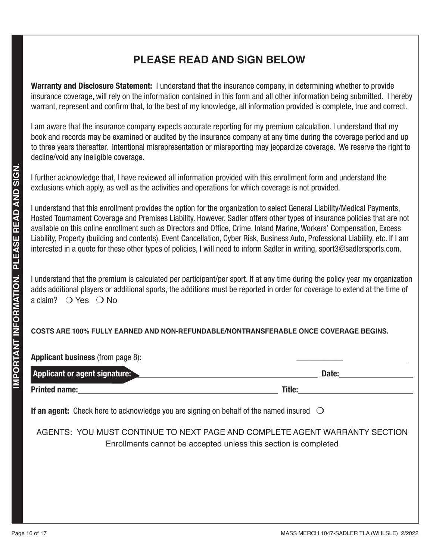# **PLEASE READ AND SIGN BELOW**

**Warranty and Disclosure Statement:** I understand that the insurance company, in determining whether to provide insurance coverage, will rely on the information contained in this form and all other information being submitted. I hereby warrant, represent and confirm that, to the best of my knowledge, all information provided is complete, true and correct.

I am aware that the insurance company expects accurate reporting for my premium calculation. I understand that my book and records may be examined or audited by the insurance company at any time during the coverage period and up to three years thereafter. Intentional misrepresentation or misreporting may jeopardize coverage. We reserve the right to decline/void any ineligible coverage.

I further acknowledge that, I have reviewed all information provided with this enrollment form and understand the exclusions which apply, as well as the activities and operations for which coverage is not provided.

I understand that this enrollment provides the option for the organization to select General Liability/Medical Payments, Hosted Tournament Coverage and Premises Liability. However, Sadler offers other types of insurance policies that are not available on this online enrollment such as Directors and Office, Crime, Inland Marine, Workers' Compensation, Excess Liability, Property (building and contents), Event Cancellation, Cyber Risk, Business Auto, Professional Liability, etc. If I am interested in a quote for these other types of policies, I will need to inform Sadler in writing, sport3@sadlersports.com.

I understand that the premium is calculated per participant/per sport. If at any time during the policy year my organization adds additional players or additional sports, the additions must be reported in order for coverage to extend at the time of a claim?  $\bigcirc$  Yes  $\bigcirc$  No

# **COSTS ARE 100% FULLY EARNED AND NON-REFUNDABLE/NONTRANSFERABLE ONCE COVERAGE BEGINS.**

| <b>Applicant business</b> (from page 8): <b>Applicant business</b> (from page 8):                       |                                                                                                                                                                                                                                     |
|---------------------------------------------------------------------------------------------------------|-------------------------------------------------------------------------------------------------------------------------------------------------------------------------------------------------------------------------------------|
| <b>Applicant or agent signature:</b>                                                                    | Date:                                                                                                                                                                                                                               |
| <b>Printed name:</b> Printed name:                                                                      | <b>Title:</b> The contract of the contract of the contract of the contract of the contract of the contract of the contract of the contract of the contract of the contract of the contract of the contract of the contract of the c |
| <b>If an agent:</b> Check here to acknowledge you are signing on behalf of the named insured $\bigcirc$ |                                                                                                                                                                                                                                     |
|                                                                                                         | AGENTS: YOU MUST CONTINUE TO NEXT PAGE AND COMPLETE AGENT WARRANTY SECTION<br>Enrollments cannot be accepted unless this section is completed                                                                                       |
|                                                                                                         |                                                                                                                                                                                                                                     |
|                                                                                                         |                                                                                                                                                                                                                                     |
|                                                                                                         |                                                                                                                                                                                                                                     |